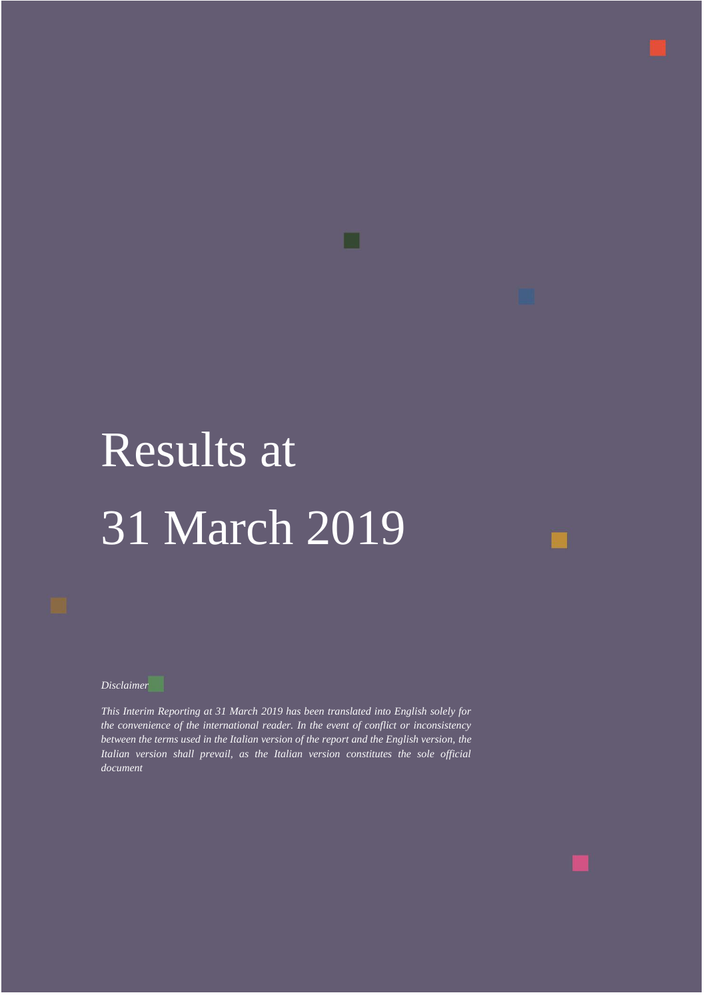# Results at 31 March 2019

H

*Disclaimer*

*This Interim Reporting at 31 March 2019 has been translated into English solely for the convenience of the international reader. In the event of conflict or inconsistency between the terms used in the Italian version of the report and the English version, the Italian version shall prevail, as the Italian version constitutes the sole official document*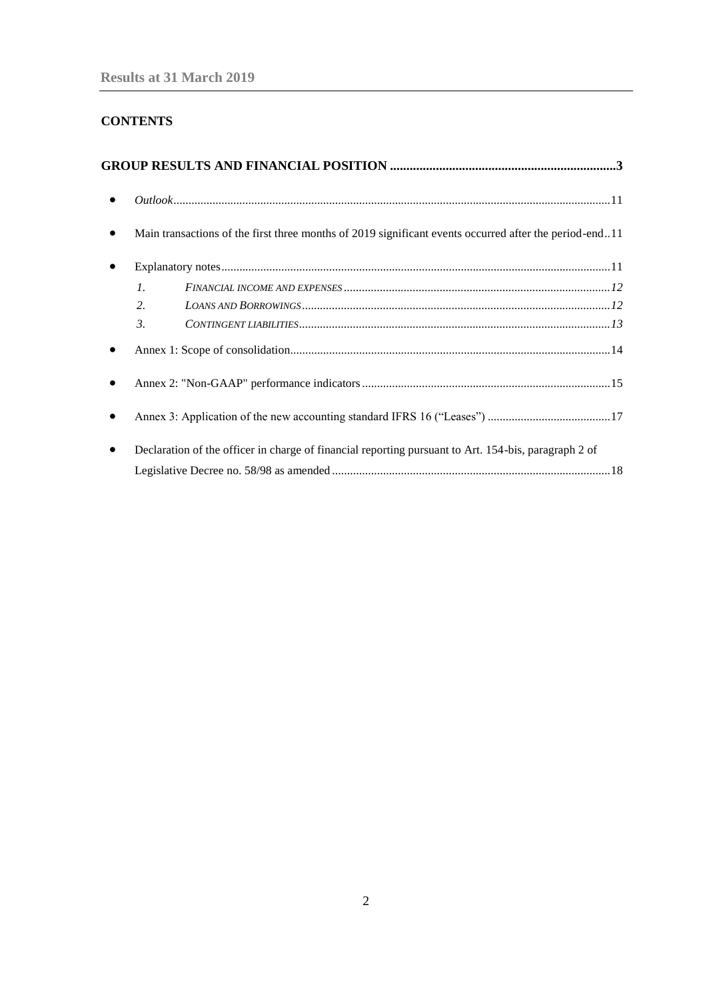# **CONTENTS**

|                 | Main transactions of the first three months of 2019 significant events occurred after the period-end11 |  |
|-----------------|--------------------------------------------------------------------------------------------------------|--|
|                 |                                                                                                        |  |
| $\mathcal{I}$ . |                                                                                                        |  |
| 2.              |                                                                                                        |  |
| $\mathfrak{Z}$  | $CONTINGENT\ LLABILITIES$                                                                              |  |
|                 |                                                                                                        |  |
|                 |                                                                                                        |  |
|                 |                                                                                                        |  |
|                 | Declaration of the officer in charge of financial reporting pursuant to Art. 154-bis, paragraph 2 of   |  |
|                 |                                                                                                        |  |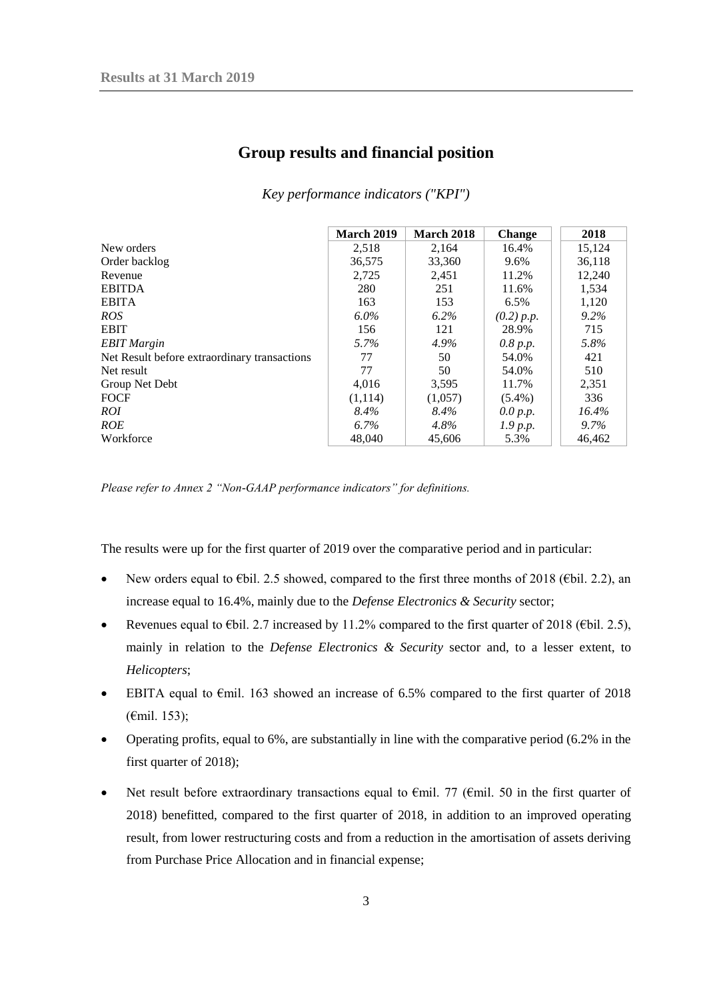<span id="page-2-0"></span>

|                                              | <b>March 2019</b> | March 2018 | <b>Change</b> | 2018     |
|----------------------------------------------|-------------------|------------|---------------|----------|
| New orders                                   | 2,518             | 2,164      | 16.4%         | 15,124   |
| Order backlog                                | 36,575            | 33,360     | 9.6%          | 36,118   |
| Revenue                                      | 2,725             | 2,451      | 11.2%         | 12,240   |
| EBITDA                                       | 280               | 251        | 11.6%         | 1,534    |
| EBITA                                        | 163               | 153        | $6.5\%$       | 1,120    |
| ROS                                          | $6.0\%$           | $6.2\%$    | (0.2) p.p.    | 9.2%     |
| EBIT                                         | 156               | 121        | 28.9%         | 715      |
| <b>EBIT</b> Margin                           | $5.7\%$           | $4.9\%$    | 0.8 p.p.      | 5.8%     |
| Net Result before extraordinary transactions | 77                | 50         | 54.0%         | 421      |
| Net result                                   | 77                | 50         | 54.0%         | 510      |
| Group Net Debt                               | 4,016             | 3,595      | 11.7%         | 2,351    |
| FOCF                                         | (1,114)           | (1,057)    | $(5.4\%)$     | 336      |
| ROI                                          | 8.4%              | 8.4%       | 0.0 p.p.      | $16.4\%$ |
| ROE                                          | 6.7%              | 4.8%       | 1.9 p.p.      | $9.7\%$  |
| Workforce                                    | 48,040            | 45,606     | 5.3%          | 46,462   |

# **Group results and financial position**

*Key performance indicators ("KPI")*

*Please refer to Annex 2 "Non-GAAP performance indicators" for definitions.*

The results were up for the first quarter of 2019 over the comparative period and in particular:

- New orders equal to €bil. 2.5 showed, compared to the first three months of 2018 (€bil. 2.2), an increase equal to 16.4%, mainly due to the *Defense Electronics & Security* sector;
- Revenues equal to  $E\$ bil. 2.7 increased by 11.2% compared to the first quarter of 2018 ( $E\$ bil. 2.5), mainly in relation to the *Defense Electronics & Security* sector and, to a lesser extent, to *Helicopters*;
- EBITA equal to  $\epsilon$ mil. 163 showed an increase of 6.5% compared to the first quarter of 2018 (€mil. 153);
- Operating profits, equal to 6%, are substantially in line with the comparative period (6.2% in the first quarter of 2018);
- Net result before extraordinary transactions equal to  $\epsilon$ mil. 77 ( $\epsilon$ mil. 50 in the first quarter of 2018) benefitted, compared to the first quarter of 2018, in addition to an improved operating result, from lower restructuring costs and from a reduction in the amortisation of assets deriving from Purchase Price Allocation and in financial expense;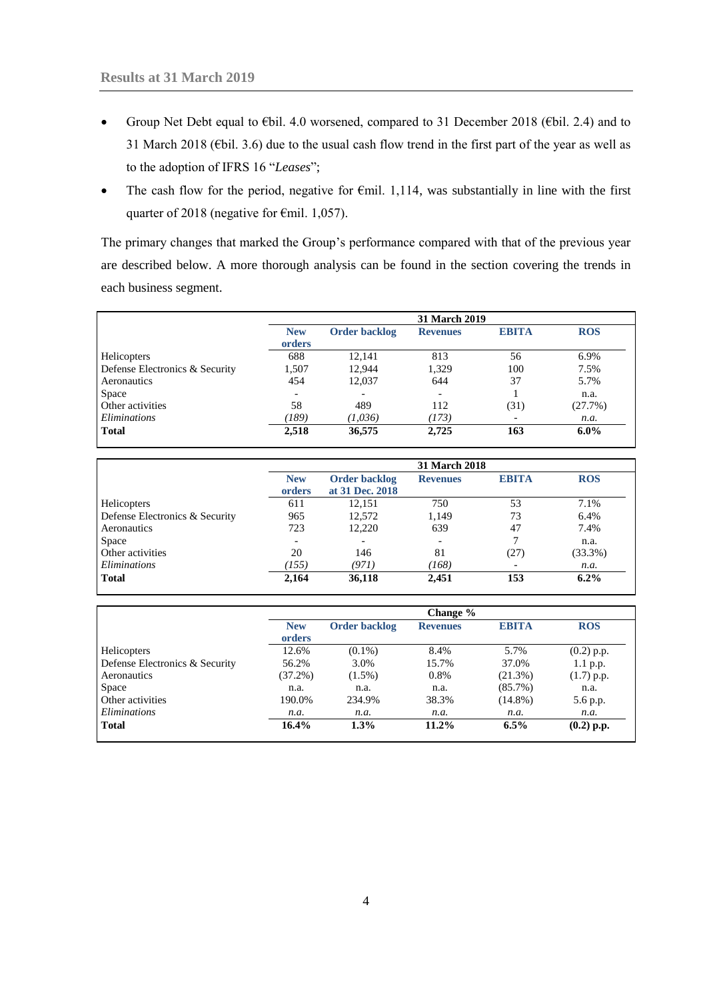- Group Net Debt equal to €bil. 4.0 worsened, compared to 31 December 2018 (€bil. 2.4) and to 31 March 2018 (€bil. 3.6) due to the usual cash flow trend in the first part of the year as well as to the adoption of IFRS 16 "*Leases*";
- The cash flow for the period, negative for  $\epsilon$ mil. 1,114, was substantially in line with the first quarter of 2018 (negative for €mil. 1,057).

The primary changes that marked the Group's performance compared with that of the previous year are described below. A more thorough analysis can be found in the section covering the trends in each business segment.

|                                |                      | <b>31 March 2019</b> |                          |                          |            |  |  |
|--------------------------------|----------------------|----------------------|--------------------------|--------------------------|------------|--|--|
|                                | <b>New</b><br>orders | Order backlog        | <b>Revenues</b>          | <b>EBITA</b>             | <b>ROS</b> |  |  |
| <b>Helicopters</b>             | 688                  | 12,141               | 813                      | 56                       | 6.9%       |  |  |
| Defense Electronics & Security | 1,507                | 12,944               | 1,329                    | 100                      | 7.5%       |  |  |
| Aeronautics                    | 454                  | 12,037               | 644                      | 37                       | 5.7%       |  |  |
| Space                          |                      |                      | $\overline{\phantom{a}}$ |                          | n.a.       |  |  |
| Other activities               | 58                   | 489                  | 112                      | (31)                     | (27.7%)    |  |  |
| Eliminations                   | 789)                 | (1,036)              | (173)                    | $\overline{\phantom{a}}$ | n.a.       |  |  |
| <b>Total</b>                   | 2,518                | 36,575               | 2,725                    | 163                      | $6.0\%$    |  |  |

|                                |                      |                                         | <b>31 March 2018</b> |                          |            |
|--------------------------------|----------------------|-----------------------------------------|----------------------|--------------------------|------------|
|                                | <b>New</b><br>orders | <b>Order backlog</b><br>at 31 Dec. 2018 | <b>Revenues</b>      | <b>EBITA</b>             | <b>ROS</b> |
| Helicopters                    | 611                  | 12,151                                  | 750                  | 53                       | 7.1%       |
| Defense Electronics & Security | 965                  | 12,572                                  | 1,149                | 73                       | 6.4%       |
| Aeronautics                    | 723                  | 12,220                                  | 639                  | 47                       | 7.4%       |
| Space                          |                      |                                         |                      | 7                        | n.a.       |
| Other activities               | 20                   | 146                                     | 81                   | (27)                     | (33.3%)    |
| <i>Eliminations</i>            | (155)                | (971)                                   | (168)                | $\overline{\phantom{a}}$ | n.a.       |
| <b>Total</b>                   | 2,164                | 36,118                                  | 2.451                | 153                      | $6.2\%$    |

|                                |                      |                      | Change $\%$     |              |              |
|--------------------------------|----------------------|----------------------|-----------------|--------------|--------------|
|                                | <b>New</b><br>orders | <b>Order backlog</b> | <b>Revenues</b> | <b>EBITA</b> | <b>ROS</b>   |
| Helicopters                    | 12.6%                | $(0.1\%)$            | 8.4%            | 5.7%         | $(0.2)$ p.p. |
| Defense Electronics & Security | 56.2%                | 3.0%                 | 15.7%           | 37.0%        | 1.1 p.p.     |
| Aeronautics                    | $(37.2\%)$           | $(1.5\%)$            | 0.8%            | (21.3%)      | $(1.7)$ p.p. |
| Space                          | n.a.                 | n.a.                 | n.a.            | $(85.7\%)$   | n.a.         |
| Other activities               | 190.0%               | 234.9%               | 38.3%           | $(14.8\%)$   | 5.6 p.p.     |
| <i>Eliminations</i>            | n.a.                 | n.a.                 | n.a.            | n.a.         | n.a.         |
| <b>Total</b>                   | $16.4\%$             | 1.3%                 | $11.2\%$        | $6.5\%$      | $(0.2)$ p.p. |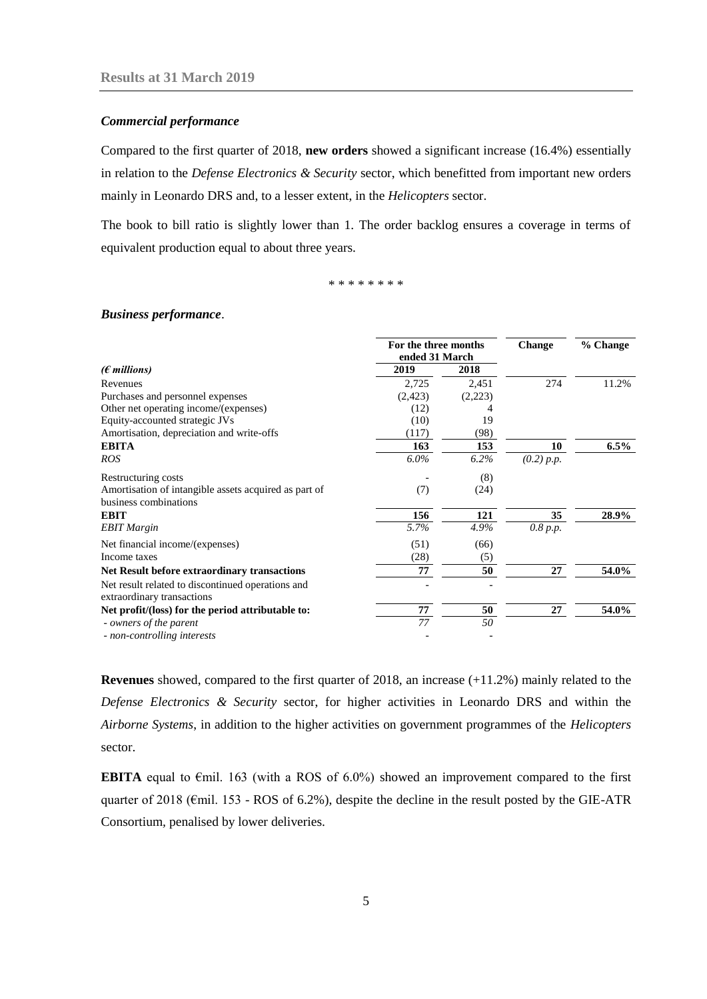#### *Commercial performance*

Compared to the first quarter of 2018, **new orders** showed a significant increase (16.4%) essentially in relation to the *Defense Electronics & Security* sector, which benefitted from important new orders mainly in Leonardo DRS and, to a lesser extent, in the *Helicopters* sector.

The book to bill ratio is slightly lower than 1. The order backlog ensures a coverage in terms of equivalent production equal to about three years.

\* \* \* \* \* \* \* \*

#### *Business performance*.

|                                                                                 | For the three months<br>ended 31 March |         | <b>Change</b> | % Change |
|---------------------------------------------------------------------------------|----------------------------------------|---------|---------------|----------|
| $(\epsilon$ millions)                                                           | 2019                                   | 2018    |               |          |
| Revenues                                                                        | 2,725                                  | 2,451   | 274           | 11.2%    |
| Purchases and personnel expenses                                                | (2,423)                                | (2,223) |               |          |
| Other net operating income/(expenses)                                           | (12)                                   |         |               |          |
| Equity-accounted strategic JVs                                                  | (10)                                   | 19      |               |          |
| Amortisation, depreciation and write-offs                                       | (117)                                  | (98)    |               |          |
| <b>EBITA</b>                                                                    | 163                                    | 153     | 10            | $6.5\%$  |
| <b>ROS</b>                                                                      | $6.0\%$                                | 6.2%    | (0.2) p.p.    |          |
| Restructuring costs                                                             |                                        | (8)     |               |          |
| Amortisation of intangible assets acquired as part of<br>business combinations  | (7)                                    | (24)    |               |          |
| <b>EBIT</b>                                                                     | 156                                    | 121     | 35            | 28.9%    |
| <b>EBIT</b> Margin                                                              | 5.7%                                   | 4.9%    | 0.8 p.p.      |          |
| Net financial income/(expenses)                                                 | (51)                                   | (66)    |               |          |
| Income taxes                                                                    | (28)                                   | (5)     |               |          |
| <b>Net Result before extraordinary transactions</b>                             | 77                                     | 50      | 27            | 54.0%    |
| Net result related to discontinued operations and<br>extraordinary transactions |                                        |         |               |          |
| Net profit/(loss) for the period attributable to:                               | 77                                     | 50      | 27            | 54.0%    |
| - owners of the parent                                                          | 77                                     | 50      |               |          |
| - non-controlling interests                                                     |                                        |         |               |          |

**Revenues** showed, compared to the first quarter of 2018, an increase (+11.2%) mainly related to the *Defense Electronics & Security* sector, for higher activities in Leonardo DRS and within the *Airborne Systems*, in addition to the higher activities on government programmes of the *Helicopters*  sector.

**EBITA** equal to  $\epsilon$ mil. 163 (with a ROS of 6.0%) showed an improvement compared to the first quarter of 2018 ( $\epsilon$ mil. 153 - ROS of 6.2%), despite the decline in the result posted by the GIE-ATR Consortium*,* penalised by lower deliveries.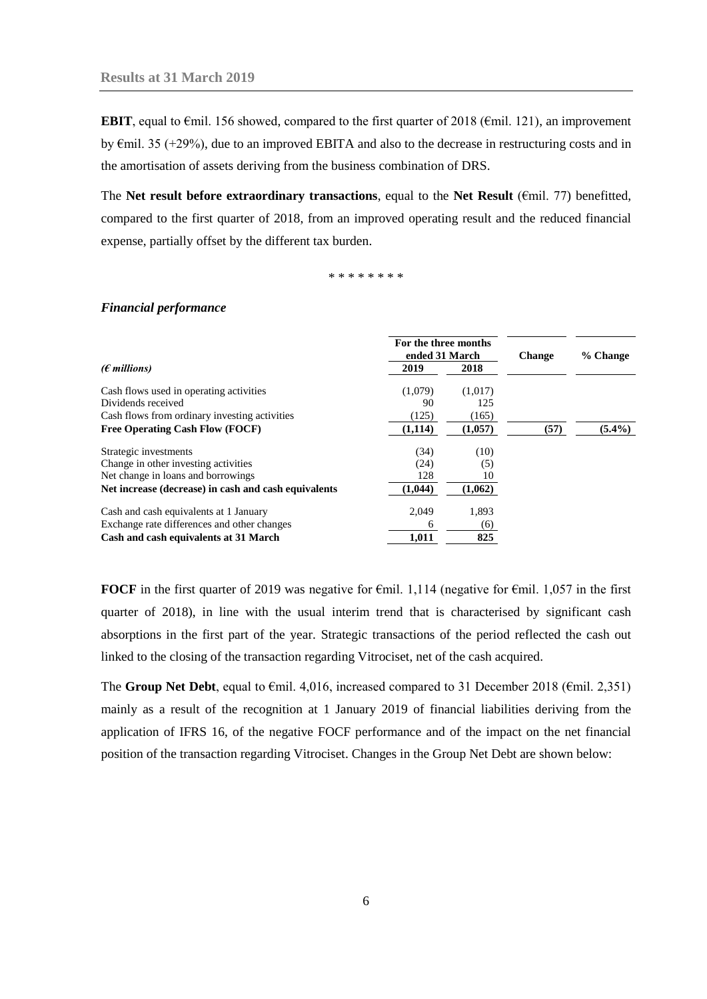**EBIT**, equal to €mil. 156 showed, compared to the first quarter of 2018 (€mil. 121), an improvement by €mil. 35 (+29%), due to an improved EBITA and also to the decrease in restructuring costs and in the amortisation of assets deriving from the business combination of DRS.

The **Net result before extraordinary transactions**, equal to the **Net Result** (€mil. 77) benefitted, compared to the first quarter of 2018, from an improved operating result and the reduced financial expense, partially offset by the different tax burden.

\* \* \* \* \* \* \* \*

#### *Financial performance*

|                                                      | For the three months<br>ended 31 March |         | <b>Change</b> | % Change  |  |
|------------------------------------------------------|----------------------------------------|---------|---------------|-----------|--|
| $(\epsilon$ millions)                                | 2019                                   | 2018    |               |           |  |
| Cash flows used in operating activities              | (1,079)                                | (1,017) |               |           |  |
| Dividends received                                   | 90                                     | 125     |               |           |  |
| Cash flows from ordinary investing activities        | (125)                                  | (165)   |               |           |  |
| <b>Free Operating Cash Flow (FOCF)</b>               | (1,114)                                | (1,057) | (57)          | $(5.4\%)$ |  |
| Strategic investments                                | (34)                                   | (10)    |               |           |  |
| Change in other investing activities                 | (24)                                   | (5)     |               |           |  |
| Net change in loans and borrowings                   | 128                                    | 10      |               |           |  |
| Net increase (decrease) in cash and cash equivalents | (1,044)                                | (1,062) |               |           |  |
| Cash and cash equivalents at 1 January               | 2.049                                  | 1,893   |               |           |  |
| Exchange rate differences and other changes          | 6                                      | (6)     |               |           |  |
| Cash and cash equivalents at 31 March                | 1,011                                  | 825     |               |           |  |

**FOCF** in the first quarter of 2019 was negative for  $\epsilon$ mil. 1,114 (negative for  $\epsilon$ mil. 1,057 in the first quarter of 2018), in line with the usual interim trend that is characterised by significant cash absorptions in the first part of the year. Strategic transactions of the period reflected the cash out linked to the closing of the transaction regarding Vitrociset, net of the cash acquired.

The **Group Net Debt**, equal to €mil. 4,016, increased compared to 31 December 2018 (€mil. 2,351) mainly as a result of the recognition at 1 January 2019 of financial liabilities deriving from the application of IFRS 16, of the negative FOCF performance and of the impact on the net financial position of the transaction regarding Vitrociset. Changes in the Group Net Debt are shown below: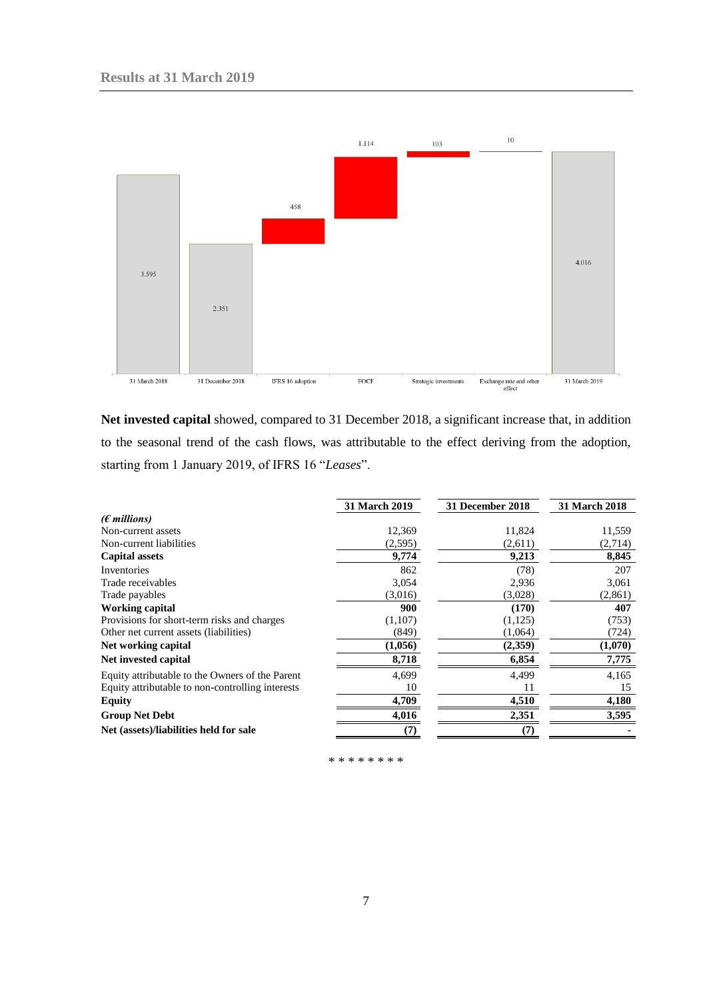

**Net invested capital** showed, compared to 31 December 2018, a significant increase that, in addition to the seasonal trend of the cash flows, was attributable to the effect deriving from the adoption, starting from 1 January 2019, of IFRS 16 "*Leases*".

|                                                  | <b>31 March 2019</b> | 31 December 2018 | 31 March 2018 |
|--------------------------------------------------|----------------------|------------------|---------------|
| $(\epsilon$ millions)                            |                      |                  |               |
| Non-current assets                               | 12,369               | 11,824           | 11,559        |
| Non-current liabilities                          | (2,595)              | (2,611)          | (2,714)       |
| <b>Capital assets</b>                            | 9,774                | 9,213            | 8,845         |
| Inventories                                      | 862                  | (78)             | 207           |
| Trade receivables                                | 3,054                | 2,936            | 3,061         |
| Trade payables                                   | (3,016)              | (3,028)          | (2,861)       |
| <b>Working capital</b>                           | 900                  | (170)            | 407           |
| Provisions for short-term risks and charges      | (1,107)              | (1, 125)         | (753)         |
| Other net current assets (liabilities)           | (849)                | (1,064)          | (724)         |
| Net working capital                              | (1,056)              | (2,359)          | (1,070)       |
| Net invested capital                             | 8,718                | 6,854            | 7,775         |
| Equity attributable to the Owners of the Parent  | 4,699                | 4,499            | 4,165         |
| Equity attributable to non-controlling interests | 10                   | 11               | 15            |
| Equity                                           | 4,709                | 4,510            | 4,180         |
| <b>Group Net Debt</b>                            | 4,016                | 2,351            | 3,595         |
| Net (assets)/liabilities held for sale           | 7                    | 7                |               |

\* \* \* \* \* \* \* \*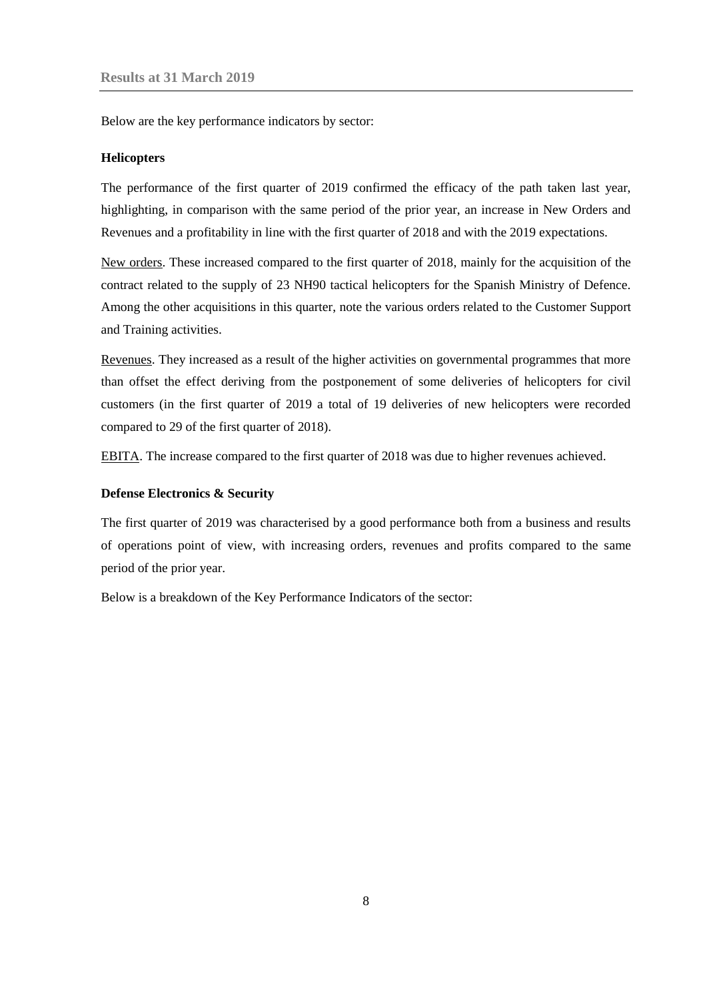Below are the key performance indicators by sector:

#### **Helicopters**

The performance of the first quarter of 2019 confirmed the efficacy of the path taken last year, highlighting, in comparison with the same period of the prior year, an increase in New Orders and Revenues and a profitability in line with the first quarter of 2018 and with the 2019 expectations.

New orders. These increased compared to the first quarter of 2018, mainly for the acquisition of the contract related to the supply of 23 NH90 tactical helicopters for the Spanish Ministry of Defence. Among the other acquisitions in this quarter, note the various orders related to the Customer Support and Training activities.

Revenues. They increased as a result of the higher activities on governmental programmes that more than offset the effect deriving from the postponement of some deliveries of helicopters for civil customers (in the first quarter of 2019 a total of 19 deliveries of new helicopters were recorded compared to 29 of the first quarter of 2018).

EBITA. The increase compared to the first quarter of 2018 was due to higher revenues achieved.

### **Defense Electronics & Security**

The first quarter of 2019 was characterised by a good performance both from a business and results of operations point of view, with increasing orders, revenues and profits compared to the same period of the prior year.

Below is a breakdown of the Key Performance Indicators of the sector: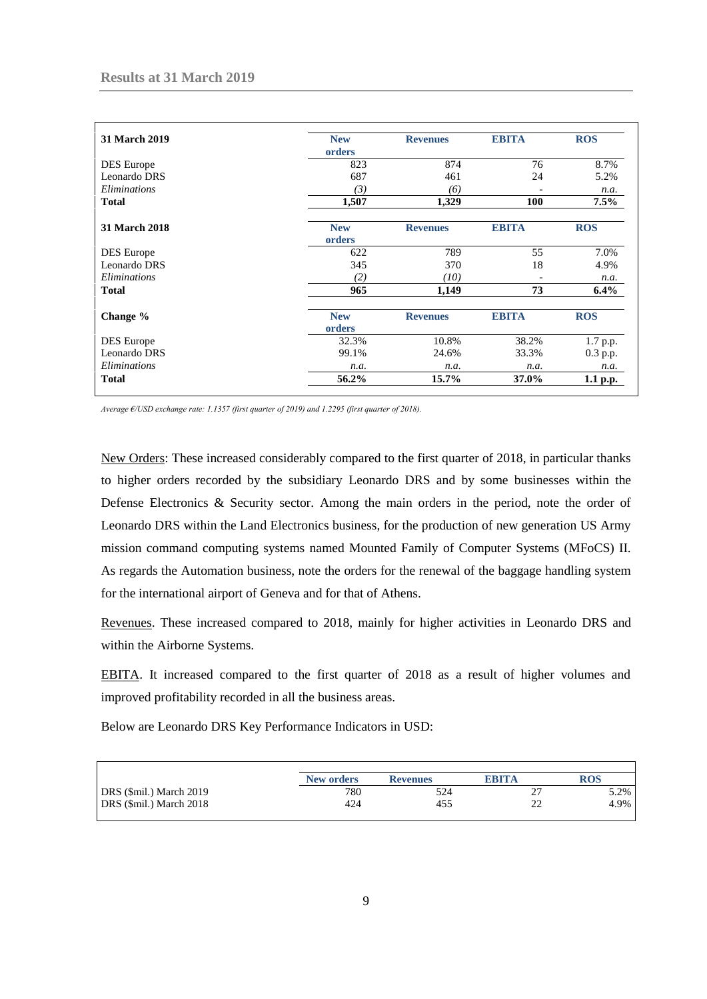| <b>31 March 2019</b> | <b>New</b><br>orders | <b>Revenues</b> | <b>EBITA</b>             | <b>ROS</b> |
|----------------------|----------------------|-----------------|--------------------------|------------|
| <b>DES</b> Europe    | 823                  | 874             | 76                       | 8.7%       |
| Leonardo DRS         | 687                  | 461             | 24                       | 5.2%       |
| Eliminations         | (3)                  | (6)             | $\overline{\phantom{a}}$ | n.a.       |
| <b>Total</b>         | 1,507                | 1,329           | 100                      | 7.5%       |
| 31 March 2018        | <b>New</b><br>orders | <b>Revenues</b> | <b>EBITA</b>             | <b>ROS</b> |
| <b>DES</b> Europe    | 622                  | 789             | 55                       | 7.0%       |
| Leonardo DRS         | 345                  | 370             | 18                       | 4.9%       |
| Eliminations         | (2)                  | (10)            |                          | n.a.       |
| <b>Total</b>         | 965                  | 1,149           | 73                       | $6.4\%$    |
| Change %             | <b>New</b><br>orders | <b>Revenues</b> | <b>EBITA</b>             | <b>ROS</b> |
| DES Europe           | 32.3%                | 10.8%           | 38.2%                    | 1.7 p.p.   |
| Leonardo DRS         | 99.1%                | 24.6%           | 33.3%                    | 0.3 p.p.   |
| Eliminations         | n.a.                 | n.a.            | n.a.                     | n.a.       |
| <b>Total</b>         | 56.2%                | 15.7%           | 37.0%                    | 1.1 p.p.   |

*Average €/USD exchange rate: 1.1357 (first quarter of 2019) and 1.2295 (first quarter of 2018).*

New Orders: These increased considerably compared to the first quarter of 2018, in particular thanks to higher orders recorded by the subsidiary Leonardo DRS and by some businesses within the Defense Electronics & Security sector. Among the main orders in the period, note the order of Leonardo DRS within the Land Electronics business, for the production of new generation US Army mission command computing systems named Mounted Family of Computer Systems (MFoCS) II. As regards the Automation business, note the orders for the renewal of the baggage handling system for the international airport of Geneva and for that of Athens.

Revenues. These increased compared to 2018, mainly for higher activities in Leonardo DRS and within the Airborne Systems.

EBITA. It increased compared to the first quarter of 2018 as a result of higher volumes and improved profitability recorded in all the business areas.

Below are Leonardo DRS Key Performance Indicators in USD:

|                         | New orders | <b>Revenues</b> | <b>EBITA</b> | ROS  |
|-------------------------|------------|-----------------|--------------|------|
| DRS (\$mil.) March 2019 | 780        | 524             |              | 5.2% |
| DRS (\$mil.) March 2018 | 424        | 455             | า^           | 4.9% |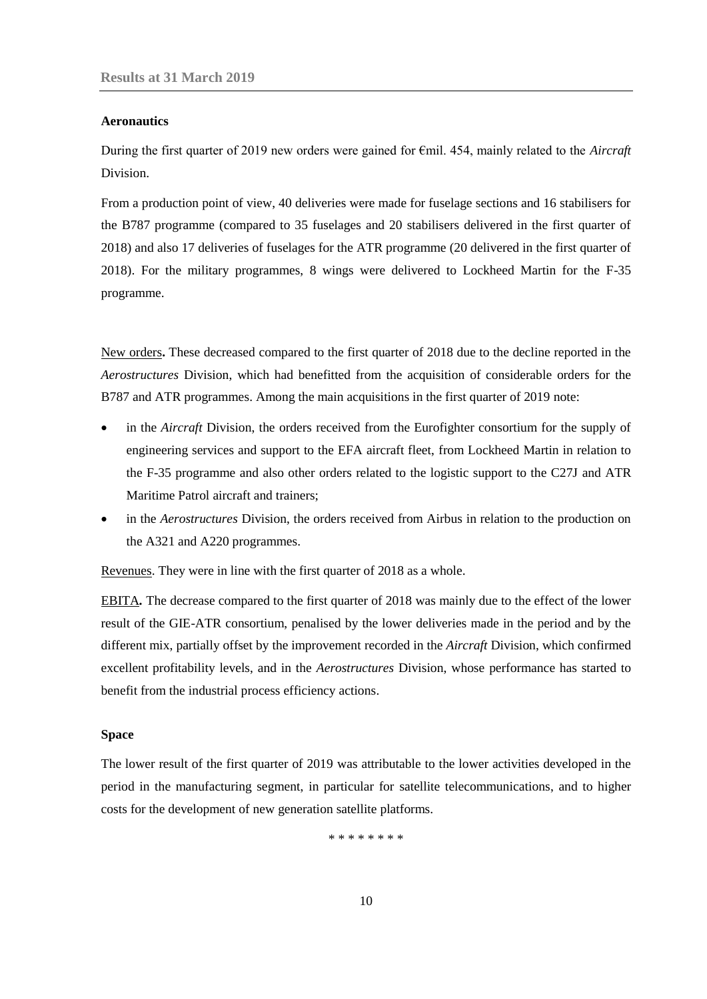#### **Aeronautics**

During the first quarter of 2019 new orders were gained for €mil. 454, mainly related to the *Aircraft*  Division.

From a production point of view, 40 deliveries were made for fuselage sections and 16 stabilisers for the B787 programme (compared to 35 fuselages and 20 stabilisers delivered in the first quarter of 2018) and also 17 deliveries of fuselages for the ATR programme (20 delivered in the first quarter of 2018). For the military programmes, 8 wings were delivered to Lockheed Martin for the F-35 programme.

New orders**.** These decreased compared to the first quarter of 2018 due to the decline reported in the *Aerostructures* Division, which had benefitted from the acquisition of considerable orders for the B787 and ATR programmes. Among the main acquisitions in the first quarter of 2019 note:

- in the *Aircraft* Division, the orders received from the Eurofighter consortium for the supply of engineering services and support to the EFA aircraft fleet, from Lockheed Martin in relation to the F-35 programme and also other orders related to the logistic support to the C27J and ATR Maritime Patrol aircraft and trainers;
- in the *Aerostructures* Division, the orders received from Airbus in relation to the production on the A321 and A220 programmes.

Revenues. They were in line with the first quarter of 2018 as a whole.

EBITA*.* The decrease compared to the first quarter of 2018 was mainly due to the effect of the lower result of the GIE-ATR consortium, penalised by the lower deliveries made in the period and by the different mix, partially offset by the improvement recorded in the *Aircraft* Division, which confirmed excellent profitability levels, and in the *Aerostructures* Division, whose performance has started to benefit from the industrial process efficiency actions.

#### **Space**

The lower result of the first quarter of 2019 was attributable to the lower activities developed in the period in the manufacturing segment, in particular for satellite telecommunications, and to higher costs for the development of new generation satellite platforms.

\* \* \* \* \* \* \* \*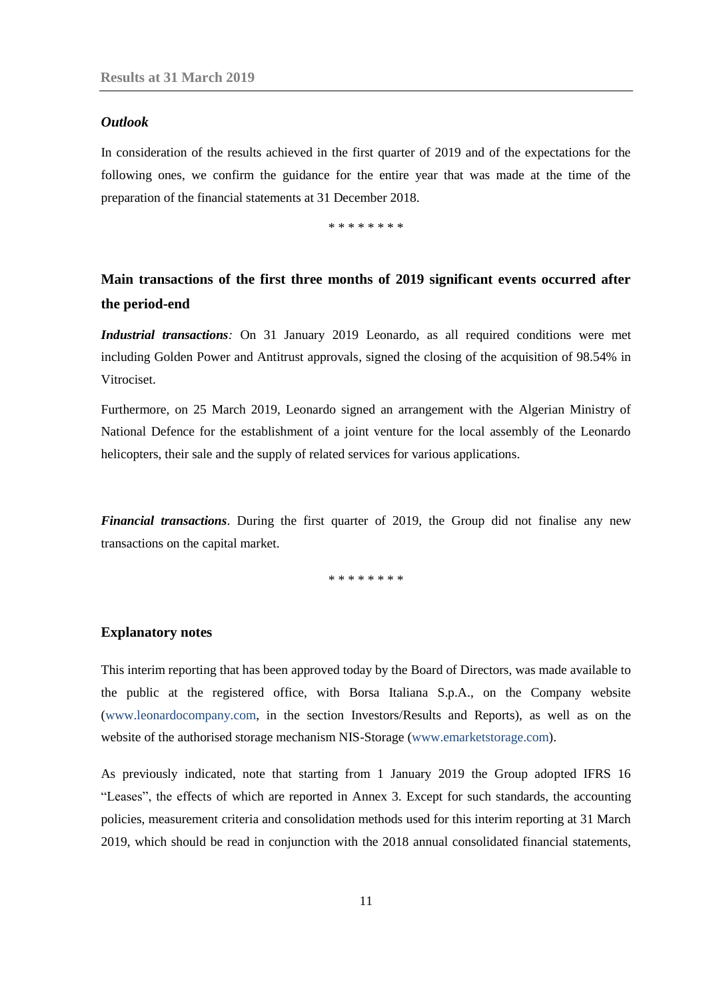#### <span id="page-10-0"></span>*Outlook*

In consideration of the results achieved in the first quarter of 2019 and of the expectations for the following ones, we confirm the guidance for the entire year that was made at the time of the preparation of the financial statements at 31 December 2018.

\* \* \* \* \* \* \* \*

# <span id="page-10-1"></span>**Main transactions of the first three months of 2019 significant events occurred after the period-end**

*Industrial transactions:* On 31 January 2019 Leonardo, as all required conditions were met including Golden Power and Antitrust approvals, signed the closing of the acquisition of 98.54% in Vitrociset.

Furthermore, on 25 March 2019, Leonardo signed an arrangement with the Algerian Ministry of National Defence for the establishment of a joint venture for the local assembly of the Leonardo helicopters, their sale and the supply of related services for various applications.

*Financial transactions*. During the first quarter of 2019, the Group did not finalise any new transactions on the capital market.

\* \* \* \* \* \* \* \*

#### <span id="page-10-2"></span>**Explanatory notes**

This interim reporting that has been approved today by the Board of Directors, was made available to the public at the registered office, with Borsa Italiana S.p.A., on the Company website [\(www.leonardocompany.com,](http://www.leonardocompany.com/) in the section Investors/Results and Reports), as well as on the website of the authorised storage mechanism NIS-Storage [\(www.emarketstorage.com\)](http://www.emarketstorage.com/).

As previously indicated, note that starting from 1 January 2019 the Group adopted IFRS 16 "Leases", the effects of which are reported in Annex 3. Except for such standards, the accounting policies, measurement criteria and consolidation methods used for this interim reporting at 31 March 2019, which should be read in conjunction with the 2018 annual consolidated financial statements,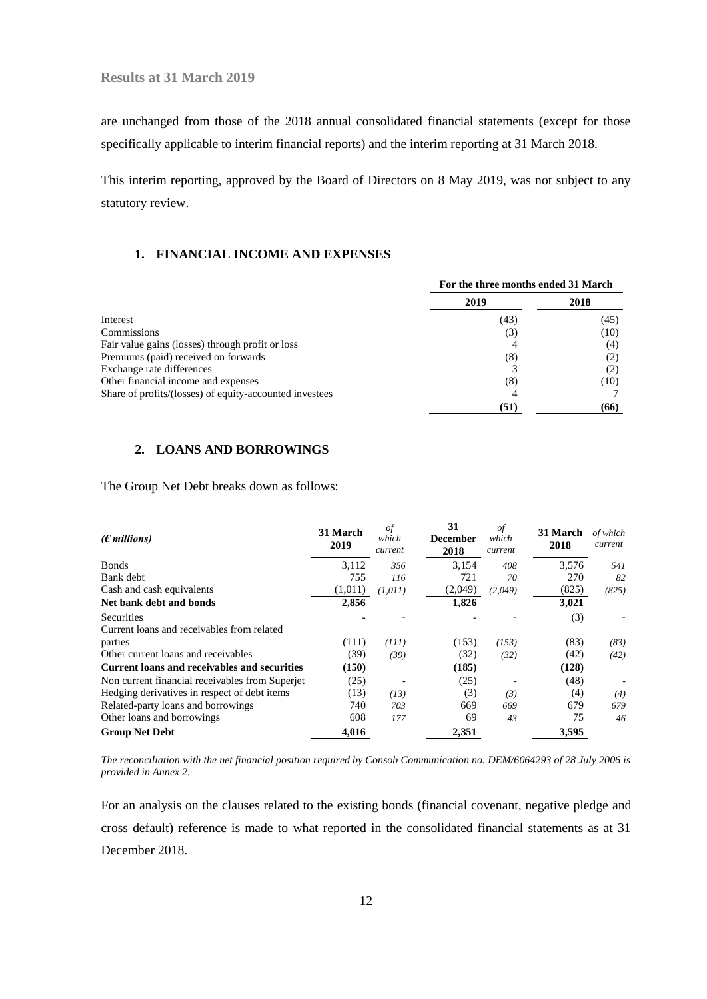are unchanged from those of the 2018 annual consolidated financial statements (except for those specifically applicable to interim financial reports) and the interim reporting at 31 March 2018.

This interim reporting, approved by the Board of Directors on 8 May 2019, was not subject to any statutory review.

## <span id="page-11-0"></span>**1. FINANCIAL INCOME AND EXPENSES**

|                                                         | For the three months ended 31 March |      |  |  |
|---------------------------------------------------------|-------------------------------------|------|--|--|
|                                                         | 2019                                | 2018 |  |  |
| Interest                                                | (43)                                | (45) |  |  |
| Commissions                                             | (3)                                 | (10) |  |  |
| Fair value gains (losses) through profit or loss        |                                     | (4)  |  |  |
| Premiums (paid) received on forwards                    | (8)                                 |      |  |  |
| Exchange rate differences                               |                                     |      |  |  |
| Other financial income and expenses                     | (8)                                 | (10) |  |  |
| Share of profits/(losses) of equity-accounted investees |                                     |      |  |  |
|                                                         | (51)                                | (66) |  |  |

## <span id="page-11-1"></span>**2. LOANS AND BORROWINGS**

The Group Net Debt breaks down as follows:

| $(\epsilon$ millions)                               | 31 March<br>2019 | of<br>which<br>current | 31<br><b>December</b><br>2018 | οf<br>which<br>current | 31 March<br>2018 | of which<br>current |
|-----------------------------------------------------|------------------|------------------------|-------------------------------|------------------------|------------------|---------------------|
| <b>Bonds</b>                                        | 3.112            | 356                    | 3.154                         | 408                    | 3,576            | 541                 |
| Bank debt                                           | 755              | 116                    | 721                           | 70                     | 270              | 82                  |
| Cash and cash equivalents                           | (1,011)          | (1,011)                | (2,049)                       | (2,049)                | (825)            | (825)               |
| Net bank debt and bonds                             | 2,856            |                        | 1,826                         |                        | 3,021            |                     |
| Securities                                          |                  |                        |                               |                        | (3)              |                     |
| Current loans and receivables from related          |                  |                        |                               |                        |                  |                     |
| parties                                             | (111)            | (111)                  | (153)                         | (153)                  | (83)             | (83)                |
| Other current loans and receivables                 | (39)             | (39)                   | (32)                          | (32)                   | (42)             | (42)                |
| <b>Current loans and receivables and securities</b> | (150)            |                        | (185)                         |                        | (128)            |                     |
| Non current financial receivables from Superjet     | (25)             |                        | (25)                          |                        | (48)             |                     |
| Hedging derivatives in respect of debt items        | (13)             | (13)                   | (3)                           | (3)                    | (4)              | (4)                 |
| Related-party loans and borrowings                  | 740              | 703                    | 669                           | 669                    | 679              | 679                 |
| Other loans and borrowings                          | 608              | 177                    | 69                            | 43                     | 75               | 46                  |
| <b>Group Net Debt</b>                               | 4.016            |                        | 2.351                         |                        | 3,595            |                     |

*The reconciliation with the net financial position required by Consob Communication no. DEM/6064293 of 28 July 2006 is provided in Annex 2.* 

For an analysis on the clauses related to the existing bonds (financial covenant, negative pledge and cross default) reference is made to what reported in the consolidated financial statements as at 31 December 2018.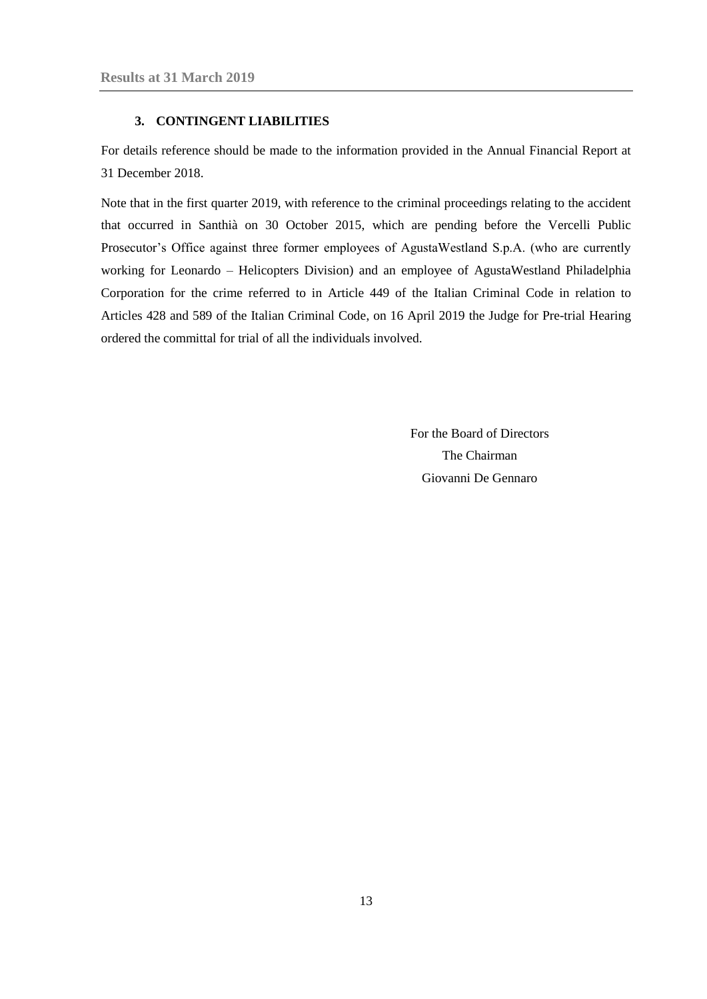#### **3. CONTINGENT LIABILITIES**

<span id="page-12-0"></span>For details reference should be made to the information provided in the Annual Financial Report at 31 December 2018.

Note that in the first quarter 2019, with reference to the criminal proceedings relating to the accident that occurred in Santhià on 30 October 2015, which are pending before the Vercelli Public Prosecutor's Office against three former employees of AgustaWestland S.p.A. (who are currently working for Leonardo – Helicopters Division) and an employee of AgustaWestland Philadelphia Corporation for the crime referred to in Article 449 of the Italian Criminal Code in relation to Articles 428 and 589 of the Italian Criminal Code, on 16 April 2019 the Judge for Pre-trial Hearing ordered the committal for trial of all the individuals involved.

> For the Board of Directors The Chairman Giovanni De Gennaro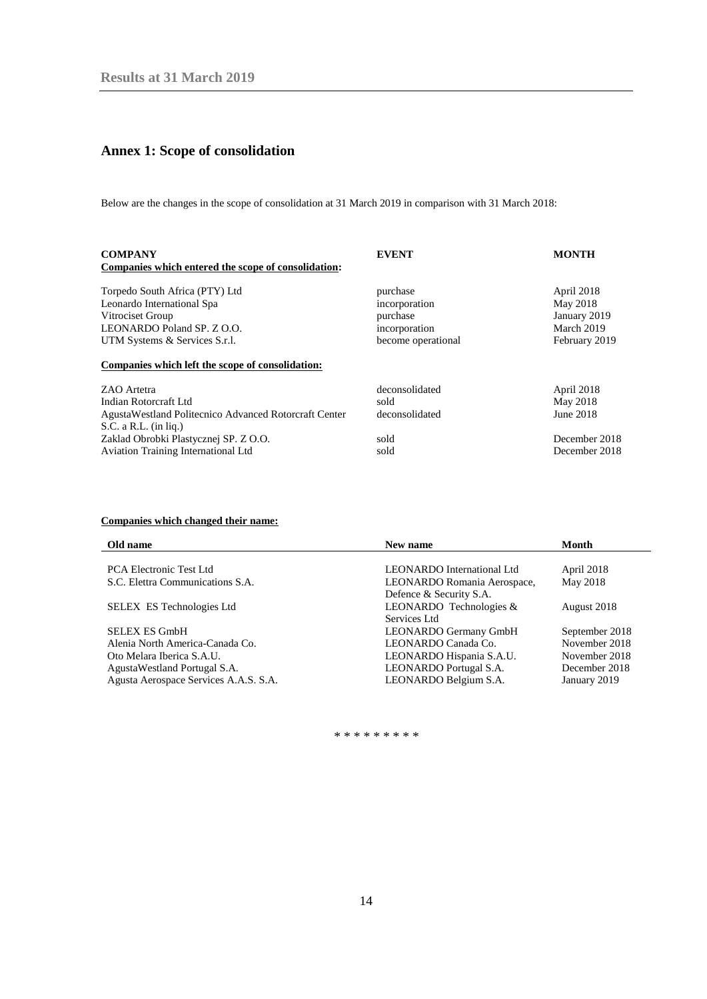# <span id="page-13-0"></span>**Annex 1: Scope of consolidation**

Below are the changes in the scope of consolidation at 31 March 2019 in comparison with 31 March 2018:

| <b>COMPANY</b><br>Companies which entered the scope of consolidation: | <b>EVENT</b>              | <b>MONTH</b>           |
|-----------------------------------------------------------------------|---------------------------|------------------------|
| Torpedo South Africa (PTY) Ltd<br>Leonardo International Spa          | purchase<br>incorporation | April 2018<br>May 2018 |
| Vitrociset Group                                                      | purchase                  | January 2019           |
| LEONARDO Poland SP. Z O.O.                                            | incorporation             | March 2019             |
| UTM Systems & Services S.r.l.                                         | become operational        | February 2019          |
| Companies which left the scope of consolidation:                      |                           |                        |
| ZAO Artetra                                                           | deconsolidated            | April 2018             |
| Indian Rotorcraft Ltd                                                 | sold                      | May 2018               |
| Agusta Westland Politecnico Advanced Rotorcraft Center                | deconsolidated            | June 2018              |
| $S.C. a R.L. (in lig.)$                                               |                           |                        |
| Zaklad Obrobki Plastycznej SP. Z O.O.                                 | sold                      | December 2018          |
| Aviation Training International Ltd                                   | sold                      | December 2018          |

## **Companies which changed their name:**

| Old name                              | New name                          | <b>Month</b>   |
|---------------------------------------|-----------------------------------|----------------|
|                                       |                                   |                |
| <b>PCA Electronic Test Ltd</b>        | <b>LEONARDO</b> International Ltd | April 2018     |
| S.C. Elettra Communications S.A.      | LEONARDO Romania Aerospace,       | May 2018       |
|                                       | Defence & Security S.A.           |                |
| <b>SELEX ES Technologies Ltd</b>      | LEONARDO Technologies &           | August 2018    |
|                                       | Services Ltd                      |                |
| <b>SELEX ES GmbH</b>                  | LEONARDO Germany GmbH             | September 2018 |
| Alenia North America-Canada Co.       | LEONARDO Canada Co.               | November 2018  |
| Oto Melara Iberica S.A.U.             | LEONARDO Hispania S.A.U.          | November 2018  |
| Agusta Westland Portugal S.A.         | LEONARDO Portugal S.A.            | December 2018  |
| Agusta Aerospace Services A.A.S. S.A. | LEONARDO Belgium S.A.             | January 2019   |

\* \* \* \* \* \* \* \* \*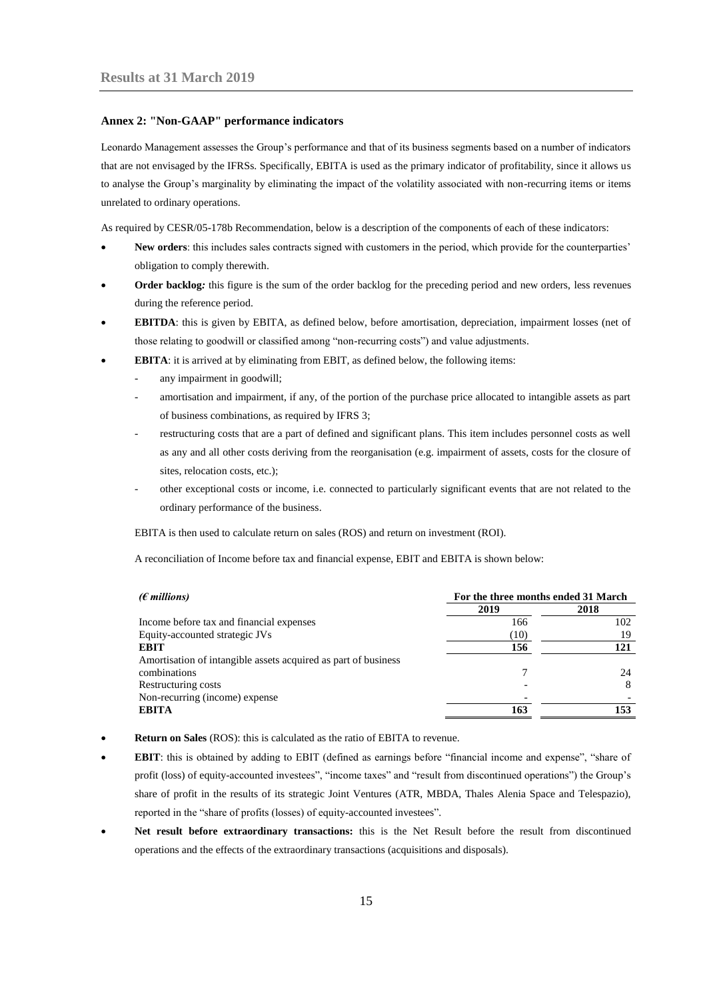#### <span id="page-14-0"></span>**Annex 2: "Non-GAAP" performance indicators**

Leonardo Management assesses the Group's performance and that of its business segments based on a number of indicators that are not envisaged by the IFRSs. Specifically, EBITA is used as the primary indicator of profitability, since it allows us to analyse the Group's marginality by eliminating the impact of the volatility associated with non-recurring items or items unrelated to ordinary operations.

As required by CESR/05-178b Recommendation, below is a description of the components of each of these indicators:

- **New orders**: this includes sales contracts signed with customers in the period, which provide for the counterparties' obligation to comply therewith.
- **Order backlog***:* this figure is the sum of the order backlog for the preceding period and new orders, less revenues during the reference period.
- **EBITDA**: this is given by EBITA, as defined below, before amortisation, depreciation, impairment losses (net of those relating to goodwill or classified among "non-recurring costs") and value adjustments.
- **EBITA:** it is arrived at by eliminating from EBIT, as defined below, the following items:
	- any impairment in goodwill;
	- amortisation and impairment, if any, of the portion of the purchase price allocated to intangible assets as part of business combinations, as required by IFRS 3;
	- restructuring costs that are a part of defined and significant plans. This item includes personnel costs as well as any and all other costs deriving from the reorganisation (e.g. impairment of assets, costs for the closure of sites, relocation costs, etc.);
	- other exceptional costs or income, i.e. connected to particularly significant events that are not related to the ordinary performance of the business.

EBITA is then used to calculate return on sales (ROS) and return on investment (ROI).

A reconciliation of Income before tax and financial expense, EBIT and EBITA is shown below:

| $(\epsilon$ millions)                                          | For the three months ended 31 March |      |
|----------------------------------------------------------------|-------------------------------------|------|
|                                                                | 2019                                | 2018 |
| Income before tax and financial expenses                       | 166                                 | 102  |
| Equity-accounted strategic JVs                                 | (10)                                | 19   |
| <b>EBIT</b>                                                    | 156                                 | 121  |
| Amortisation of intangible assets acquired as part of business |                                     |      |
| combinations                                                   |                                     | 24   |
| Restructuring costs                                            |                                     | 8    |
| Non-recurring (income) expense                                 |                                     |      |
| <b>EBITA</b>                                                   | 163                                 | 153  |

- **Return on Sales** (ROS): this is calculated as the ratio of EBITA to revenue.
- **EBIT**: this is obtained by adding to EBIT (defined as earnings before "financial income and expense", "share of profit (loss) of equity-accounted investees", "income taxes" and "result from discontinued operations") the Group's share of profit in the results of its strategic Joint Ventures (ATR, MBDA, Thales Alenia Space and Telespazio), reported in the "share of profits (losses) of equity-accounted investees".
- **Net result before extraordinary transactions:** this is the Net Result before the result from discontinued operations and the effects of the extraordinary transactions (acquisitions and disposals).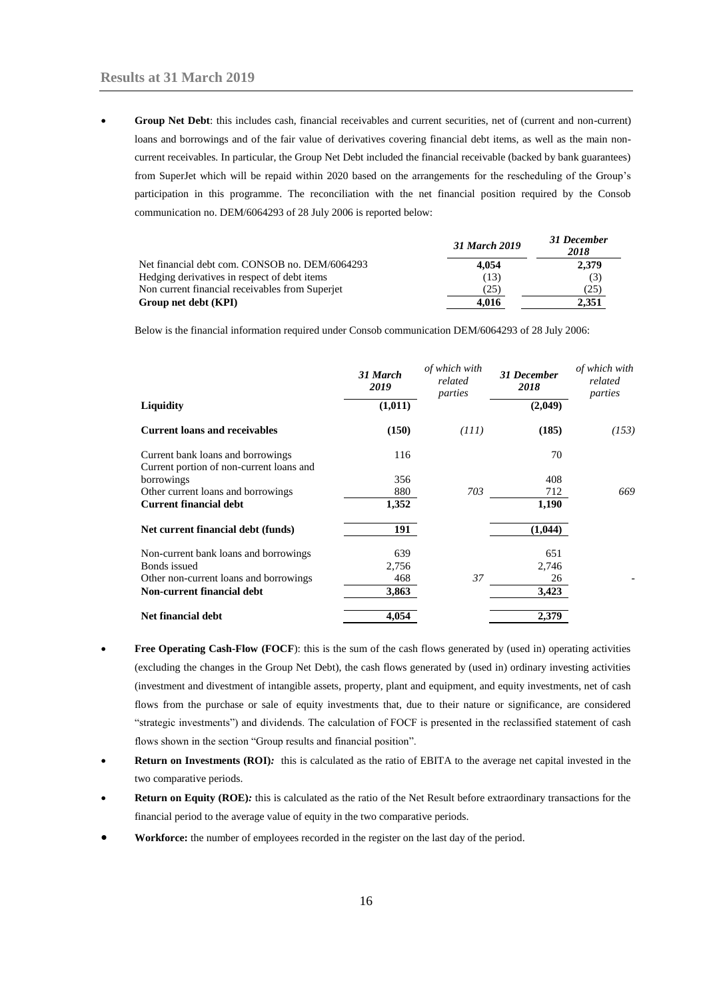**Group Net Debt**: this includes cash, financial receivables and current securities, net of (current and non-current) loans and borrowings and of the fair value of derivatives covering financial debt items, as well as the main noncurrent receivables. In particular, the Group Net Debt included the financial receivable (backed by bank guarantees) from SuperJet which will be repaid within 2020 based on the arrangements for the rescheduling of the Group's participation in this programme. The reconciliation with the net financial position required by the Consob communication no. DEM/6064293 of 28 July 2006 is reported below:

|                                                 | 31 March 2019 | эт ресениет<br>2018 |
|-------------------------------------------------|---------------|---------------------|
| Net financial debt com. CONSOB no. DEM/6064293  | 4.054         | 2,379               |
| Hedging derivatives in respect of debt items    | (13)          |                     |
| Non current financial receivables from Superjet | (25)          | (25)                |
| Group net debt (KPI)                            | 4.016         | 2.351               |

*31 March 2019 31 December* 

Below is the financial information required under Consob communication DEM/6064293 of 28 July 2006:

|                                                                               | 31 March<br>2019 | of which with<br>related<br>parties | <b>31 December</b><br>2018 | of which with<br>related<br>parties |
|-------------------------------------------------------------------------------|------------------|-------------------------------------|----------------------------|-------------------------------------|
| Liquidity                                                                     | (1,011)          |                                     | (2,049)                    |                                     |
| <b>Current loans and receivables</b>                                          | (150)            | (III)                               | (185)                      | (153)                               |
| Current bank loans and borrowings<br>Current portion of non-current loans and | 116              |                                     | 70                         |                                     |
| borrowings                                                                    | 356              |                                     | 408                        |                                     |
| Other current loans and borrowings                                            | 880              | 703                                 | 712                        | 669                                 |
| <b>Current financial debt</b>                                                 | 1,352            |                                     | 1,190                      |                                     |
| Net current financial debt (funds)                                            | 191              |                                     | (1,044)                    |                                     |
| Non-current bank loans and borrowings                                         | 639              |                                     | 651                        |                                     |
| Bonds issued                                                                  | 2,756            |                                     | 2,746                      |                                     |
| Other non-current loans and borrowings                                        | 468              | 37                                  | 26                         |                                     |
| Non-current financial debt                                                    | 3,863            |                                     | 3,423                      |                                     |
| Net financial debt                                                            | 4,054            |                                     | 2,379                      |                                     |

- **Free Operating Cash-Flow (FOCF)**: this is the sum of the cash flows generated by (used in) operating activities (excluding the changes in the Group Net Debt), the cash flows generated by (used in) ordinary investing activities (investment and divestment of intangible assets, property, plant and equipment, and equity investments, net of cash flows from the purchase or sale of equity investments that, due to their nature or significance, are considered "strategic investments") and dividends. The calculation of FOCF is presented in the reclassified statement of cash flows shown in the section "Group results and financial position".
- **Return on Investments (ROI)***:* this is calculated as the ratio of EBITA to the average net capital invested in the two comparative periods.
- **Return on Equity (ROE)***:* this is calculated as the ratio of the Net Result before extraordinary transactions for the financial period to the average value of equity in the two comparative periods.
- **Workforce:** the number of employees recorded in the register on the last day of the period.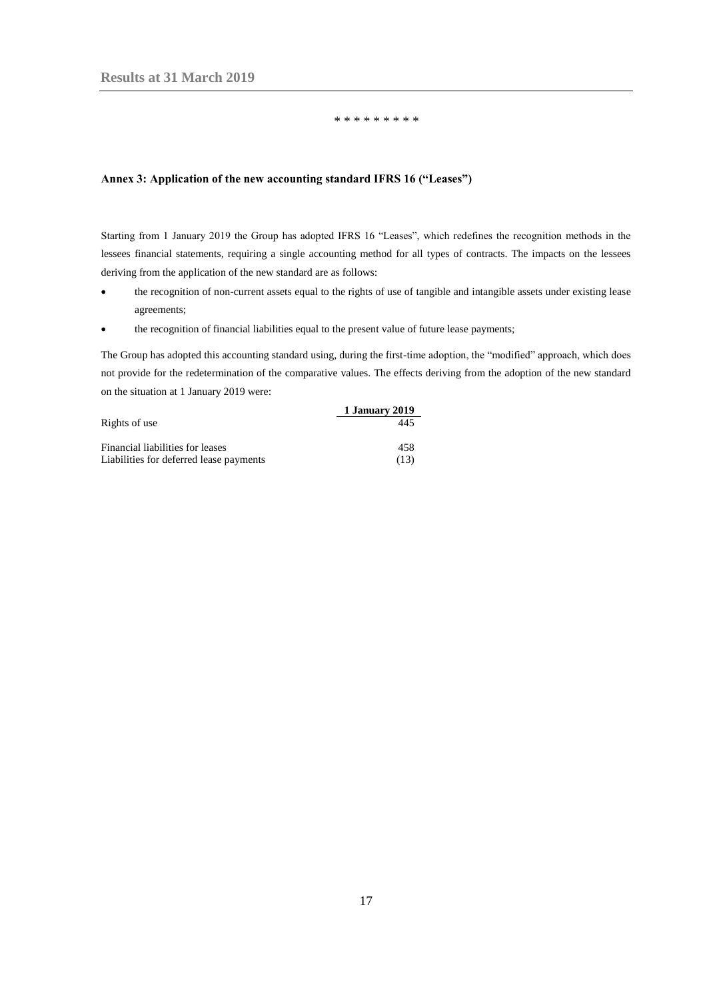#### \* \* \* \* \* \* \* \* \*

#### <span id="page-16-0"></span>**Annex 3: Application of the new accounting standard IFRS 16 ("Leases")**

Starting from 1 January 2019 the Group has adopted IFRS 16 "Leases", which redefines the recognition methods in the lessees financial statements, requiring a single accounting method for all types of contracts. The impacts on the lessees deriving from the application of the new standard are as follows:

- the recognition of non-current assets equal to the rights of use of tangible and intangible assets under existing lease agreements;
- the recognition of financial liabilities equal to the present value of future lease payments;

The Group has adopted this accounting standard using, during the first-time adoption, the "modified" approach, which does not provide for the redetermination of the comparative values. The effects deriving from the adoption of the new standard on the situation at 1 January 2019 were:

|                                         | 1 January 2019 |
|-----------------------------------------|----------------|
| Rights of use                           | 445            |
|                                         | 458            |
| Financial liabilities for leases        |                |
| Liabilities for deferred lease payments | (13)           |